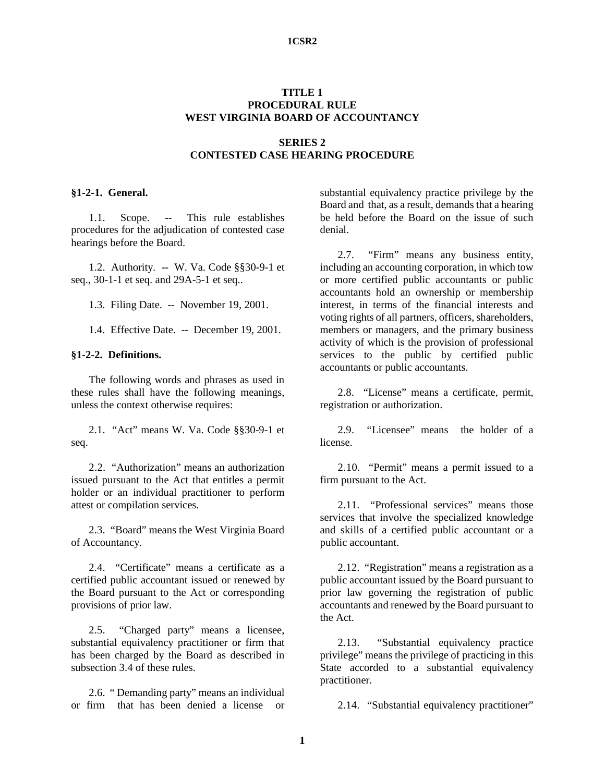#### **1CSR2**

# **TITLE 1 PROCEDURAL RULE WEST VIRGINIA BOARD OF ACCOUNTANCY**

# **SERIES 2 CONTESTED CASE HEARING PROCEDURE**

#### **§1-2-1. General.**

1.1. Scope. -- This rule establishes procedures for the adjudication of contested case hearings before the Board.

1.2. Authority. -- W. Va. Code §§30-9-1 et seq., 30-1-1 et seq. and 29A-5-1 et seq..

1.3. Filing Date. -- November 19, 2001.

1.4. Effective Date. -- December 19, 2001.

#### **§1-2-2. Definitions.**

The following words and phrases as used in these rules shall have the following meanings, unless the context otherwise requires:

2.1. "Act" means W. Va. Code §§30-9-1 et seq.

2.2. "Authorization" means an authorization issued pursuant to the Act that entitles a permit holder or an individual practitioner to perform attest or compilation services.

2.3. "Board" means the West Virginia Board of Accountancy.

2.4. "Certificate" means a certificate as a certified public accountant issued or renewed by the Board pursuant to the Act or corresponding provisions of prior law.

2.5. "Charged party" means a licensee, substantial equivalency practitioner or firm that has been charged by the Board as described in subsection 3.4 of these rules.

2.6. " Demanding party" means an individual or firm that has been denied a license or substantial equivalency practice privilege by the Board and that, as a result, demands that a hearing be held before the Board on the issue of such denial.

2.7. "Firm" means any business entity, including an accounting corporation, in which tow or more certified public accountants or public accountants hold an ownership or membership interest, in terms of the financial interests and voting rights of all partners, officers, shareholders, members or managers, and the primary business activity of which is the provision of professional services to the public by certified public accountants or public accountants.

2.8. "License" means a certificate, permit, registration or authorization.

2.9. "Licensee" means the holder of a license.

2.10. "Permit" means a permit issued to a firm pursuant to the Act.

2.11. "Professional services" means those services that involve the specialized knowledge and skills of a certified public accountant or a public accountant.

2.12. "Registration" means a registration as a public accountant issued by the Board pursuant to prior law governing the registration of public accountants and renewed by the Board pursuant to the Act.

2.13. "Substantial equivalency practice privilege" means the privilege of practicing in this State accorded to a substantial equivalency practitioner.

2.14. "Substantial equivalency practitioner"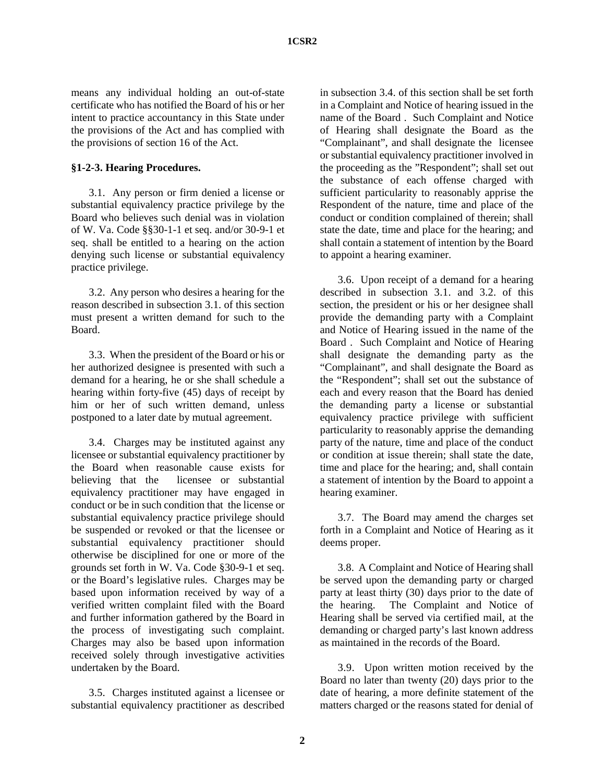means any individual holding an out-of-state certificate who has notified the Board of his or her intent to practice accountancy in this State under the provisions of the Act and has complied with the provisions of section 16 of the Act.

#### **§1-2-3. Hearing Procedures.**

3.1. Any person or firm denied a license or substantial equivalency practice privilege by the Board who believes such denial was in violation of W. Va. Code §§30-1-1 et seq. and/or 30-9-1 et seq. shall be entitled to a hearing on the action denying such license or substantial equivalency practice privilege.

3.2. Any person who desires a hearing for the reason described in subsection 3.1. of this section must present a written demand for such to the Board.

3.3. When the president of the Board or his or her authorized designee is presented with such a demand for a hearing, he or she shall schedule a hearing within forty-five (45) days of receipt by him or her of such written demand, unless postponed to a later date by mutual agreement.

3.4. Charges may be instituted against any licensee or substantial equivalency practitioner by the Board when reasonable cause exists for believing that the licensee or substantial equivalency practitioner may have engaged in conduct or be in such condition that the license or substantial equivalency practice privilege should be suspended or revoked or that the licensee or substantial equivalency practitioner should otherwise be disciplined for one or more of the grounds set forth in W. Va. Code §30-9-1 et seq. or the Board's legislative rules. Charges may be based upon information received by way of a verified written complaint filed with the Board and further information gathered by the Board in the process of investigating such complaint. Charges may also be based upon information received solely through investigative activities undertaken by the Board.

3.5. Charges instituted against a licensee or substantial equivalency practitioner as described

in subsection 3.4. of this section shall be set forth in a Complaint and Notice of hearing issued in the name of the Board . Such Complaint and Notice of Hearing shall designate the Board as the "Complainant", and shall designate the licensee or substantial equivalency practitioner involved in the proceeding as the "Respondent"; shall set out the substance of each offense charged with sufficient particularity to reasonably apprise the Respondent of the nature, time and place of the conduct or condition complained of therein; shall state the date, time and place for the hearing; and shall contain a statement of intention by the Board to appoint a hearing examiner.

3.6. Upon receipt of a demand for a hearing described in subsection 3.1. and 3.2. of this section, the president or his or her designee shall provide the demanding party with a Complaint and Notice of Hearing issued in the name of the Board . Such Complaint and Notice of Hearing shall designate the demanding party as the "Complainant", and shall designate the Board as the "Respondent"; shall set out the substance of each and every reason that the Board has denied the demanding party a license or substantial equivalency practice privilege with sufficient particularity to reasonably apprise the demanding party of the nature, time and place of the conduct or condition at issue therein; shall state the date, time and place for the hearing; and, shall contain a statement of intention by the Board to appoint a hearing examiner.

3.7. The Board may amend the charges set forth in a Complaint and Notice of Hearing as it deems proper.

3.8. A Complaint and Notice of Hearing shall be served upon the demanding party or charged party at least thirty (30) days prior to the date of the hearing. The Complaint and Notice of Hearing shall be served via certified mail, at the demanding or charged party's last known address as maintained in the records of the Board.

3.9. Upon written motion received by the Board no later than twenty (20) days prior to the date of hearing, a more definite statement of the matters charged or the reasons stated for denial of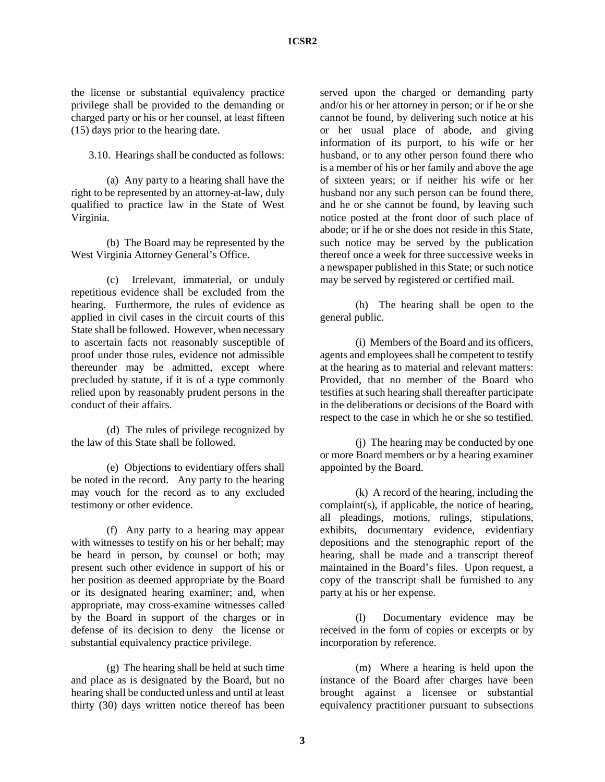the license or substantial equivalency practice privilege shall be provided to the demanding or charged party or his or her counsel, at least fifteen (15) days prior to the hearing date.

3.10. Hearings shall be conducted as follows:

(a) Any party to a hearing shall have the right to be represented by an attorney-at-law, duly qualified to practice law in the State of West Virginia.

(b) The Board may be represented by the West Virginia Attorney General's Office.

(c) Irrelevant, immaterial, or unduly repetitious evidence shall be excluded from the hearing. Furthermore, the rules of evidence as applied in civil cases in the circuit courts of this State shall be followed. However, when necessary to ascertain facts not reasonably susceptible of proof under those rules, evidence not admissible thereunder may be admitted, except where precluded by statute, if it is of a type commonly relied upon by reasonably prudent persons in the conduct of their affairs.

(d) The rules of privilege recognized by the law of this State shall be followed.

(e) Objections to evidentiary offers shall be noted in the record. Any party to the hearing may vouch for the record as to any excluded testimony or other evidence.

(f) Any party to a hearing may appear with witnesses to testify on his or her behalf; may be heard in person, by counsel or both; may present such other evidence in support of his or her position as deemed appropriate by the Board or its designated hearing examiner; and, when appropriate, may cross-examine witnesses called by the Board in support of the charges or in defense of its decision to deny the license or substantial equivalency practice privilege.

(g) The hearing shall be held at such time and place as is designated by the Board, but no hearing shall be conducted unless and until at least thirty (30) days written notice thereof has been

served upon the charged or demanding party and/or his or her attorney in person; or if he or she cannot be found, by delivering such notice at his or her usual place of abode, and giving information of its purport, to his wife or her husband, or to any other person found there who is a member of his or her family and above the age of sixteen years; or if neither his wife or her husband nor any such person can be found there, and he or she cannot be found, by leaving such notice posted at the front door of such place of abode; or if he or she does not reside in this State, such notice may be served by the publication thereof once a week for three successive weeks in a newspaper published in this State; or such notice may be served by registered or certified mail.

(h) The hearing shall be open to the general public.

(i) Members of the Board and its officers, agents and employees shall be competent to testify at the hearing as to material and relevant matters: Provided, that no member of the Board who testifies at such hearing shall thereafter participate in the deliberations or decisions of the Board with respect to the case in which he or she so testified.

(j) The hearing may be conducted by one or more Board members or by a hearing examiner appointed by the Board.

(k) A record of the hearing, including the complaint(s), if applicable, the notice of hearing, all pleadings, motions, rulings, stipulations, exhibits, documentary evidence, evidentiary depositions and the stenographic report of the hearing, shall be made and a transcript thereof maintained in the Board's files. Upon request, a copy of the transcript shall be furnished to any party at his or her expense.

(l) Documentary evidence may be received in the form of copies or excerpts or by incorporation by reference.

(m) Where a hearing is held upon the instance of the Board after charges have been brought against a licensee or substantial equivalency practitioner pursuant to subsections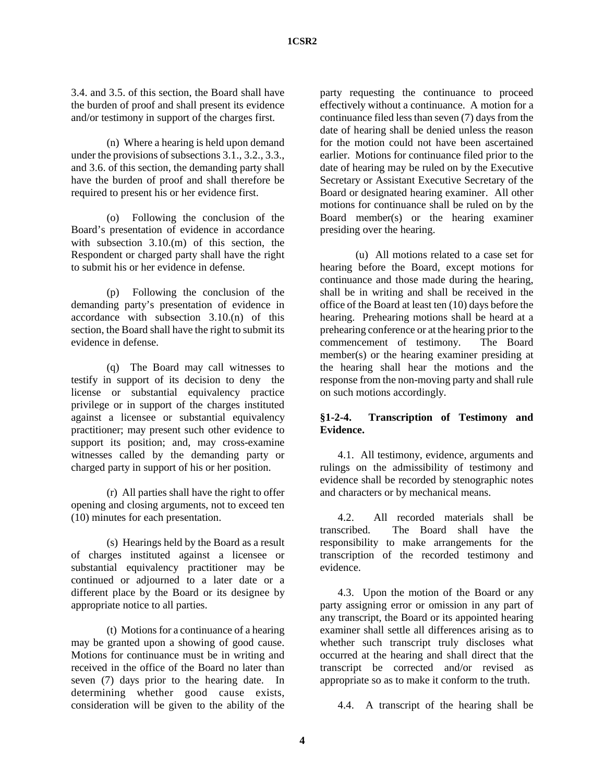3.4. and 3.5. of this section, the Board shall have the burden of proof and shall present its evidence and/or testimony in support of the charges first.

(n) Where a hearing is held upon demand under the provisions of subsections 3.1., 3.2., 3.3., and 3.6. of this section, the demanding party shall have the burden of proof and shall therefore be required to present his or her evidence first.

(o) Following the conclusion of the Board's presentation of evidence in accordance with subsection 3.10.(m) of this section, the Respondent or charged party shall have the right to submit his or her evidence in defense.

(p) Following the conclusion of the demanding party's presentation of evidence in accordance with subsection 3.10.(n) of this section, the Board shall have the right to submit its evidence in defense.

(q) The Board may call witnesses to testify in support of its decision to deny the license or substantial equivalency practice privilege or in support of the charges instituted against a licensee or substantial equivalency practitioner; may present such other evidence to support its position; and, may cross-examine witnesses called by the demanding party or charged party in support of his or her position.

(r) All parties shall have the right to offer opening and closing arguments, not to exceed ten (10) minutes for each presentation.

(s) Hearings held by the Board as a result of charges instituted against a licensee or substantial equivalency practitioner may be continued or adjourned to a later date or a different place by the Board or its designee by appropriate notice to all parties.

(t) Motions for a continuance of a hearing may be granted upon a showing of good cause. Motions for continuance must be in writing and received in the office of the Board no later than seven (7) days prior to the hearing date. In determining whether good cause exists, consideration will be given to the ability of the

party requesting the continuance to proceed effectively without a continuance. A motion for a continuance filed less than seven (7) days from the date of hearing shall be denied unless the reason for the motion could not have been ascertained earlier. Motions for continuance filed prior to the date of hearing may be ruled on by the Executive Secretary or Assistant Executive Secretary of the Board or designated hearing examiner. All other motions for continuance shall be ruled on by the Board member(s) or the hearing examiner presiding over the hearing.

(u) All motions related to a case set for hearing before the Board, except motions for continuance and those made during the hearing, shall be in writing and shall be received in the office of the Board at least ten (10) days before the hearing. Prehearing motions shall be heard at a prehearing conference or at the hearing prior to the commencement of testimony. The Board member(s) or the hearing examiner presiding at the hearing shall hear the motions and the response from the non-moving party and shall rule on such motions accordingly.

# **§1-2-4. Transcription of Testimony and Evidence.**

4.1. All testimony, evidence, arguments and rulings on the admissibility of testimony and evidence shall be recorded by stenographic notes and characters or by mechanical means.

4.2. All recorded materials shall be transcribed. The Board shall have the responsibility to make arrangements for the transcription of the recorded testimony and evidence.

4.3. Upon the motion of the Board or any party assigning error or omission in any part of any transcript, the Board or its appointed hearing examiner shall settle all differences arising as to whether such transcript truly discloses what occurred at the hearing and shall direct that the transcript be corrected and/or revised as appropriate so as to make it conform to the truth.

4.4. A transcript of the hearing shall be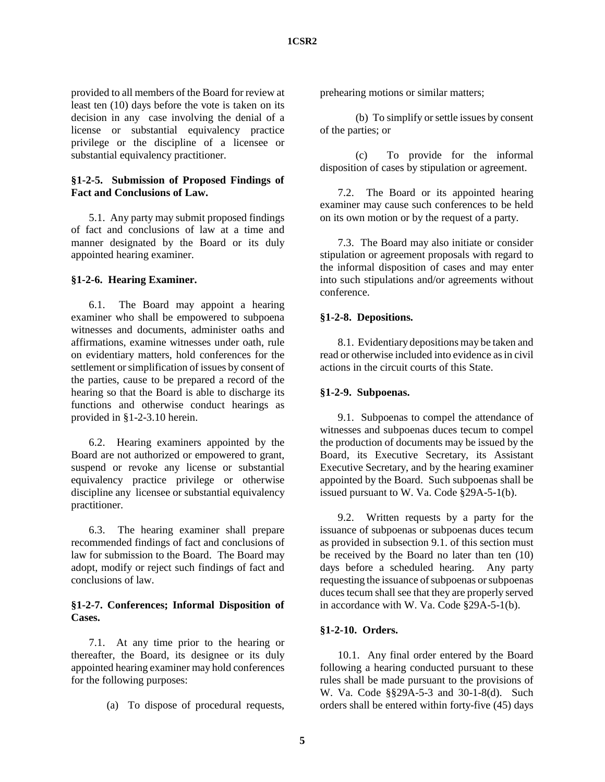provided to all members of the Board for review at least ten (10) days before the vote is taken on its decision in any case involving the denial of a license or substantial equivalency practice privilege or the discipline of a licensee or substantial equivalency practitioner.

## **§1-2-5. Submission of Proposed Findings of Fact and Conclusions of Law.**

5.1. Any party may submit proposed findings of fact and conclusions of law at a time and manner designated by the Board or its duly appointed hearing examiner.

### **§1-2-6. Hearing Examiner.**

6.1. The Board may appoint a hearing examiner who shall be empowered to subpoena witnesses and documents, administer oaths and affirmations, examine witnesses under oath, rule on evidentiary matters, hold conferences for the settlement or simplification of issues by consent of the parties, cause to be prepared a record of the hearing so that the Board is able to discharge its functions and otherwise conduct hearings as provided in §1-2-3.10 herein.

6.2. Hearing examiners appointed by the Board are not authorized or empowered to grant, suspend or revoke any license or substantial equivalency practice privilege or otherwise discipline any licensee or substantial equivalency practitioner.

6.3. The hearing examiner shall prepare recommended findings of fact and conclusions of law for submission to the Board. The Board may adopt, modify or reject such findings of fact and conclusions of law.

### **§1-2-7. Conferences; Informal Disposition of Cases.**

7.1. At any time prior to the hearing or thereafter, the Board, its designee or its duly appointed hearing examiner may hold conferences for the following purposes:

(a) To dispose of procedural requests,

prehearing motions or similar matters;

(b) To simplify or settle issues by consent of the parties; or

(c) To provide for the informal disposition of cases by stipulation or agreement.

7.2. The Board or its appointed hearing examiner may cause such conferences to be held on its own motion or by the request of a party.

7.3. The Board may also initiate or consider stipulation or agreement proposals with regard to the informal disposition of cases and may enter into such stipulations and/or agreements without conference.

### **§1-2-8. Depositions.**

8.1. Evidentiary depositions may be taken and read or otherwise included into evidence as in civil actions in the circuit courts of this State.

#### **§1-2-9. Subpoenas.**

9.1. Subpoenas to compel the attendance of witnesses and subpoenas duces tecum to compel the production of documents may be issued by the Board, its Executive Secretary, its Assistant Executive Secretary, and by the hearing examiner appointed by the Board. Such subpoenas shall be issued pursuant to W. Va. Code §29A-5-1(b).

9.2. Written requests by a party for the issuance of subpoenas or subpoenas duces tecum as provided in subsection 9.1. of this section must be received by the Board no later than ten (10) days before a scheduled hearing. Any party requesting the issuance of subpoenas or subpoenas duces tecum shall see that they are properly served in accordance with W. Va. Code §29A-5-1(b).

### **§1-2-10. Orders.**

10.1. Any final order entered by the Board following a hearing conducted pursuant to these rules shall be made pursuant to the provisions of W. Va. Code §§29A-5-3 and 30-1-8(d). Such orders shall be entered within forty-five (45) days